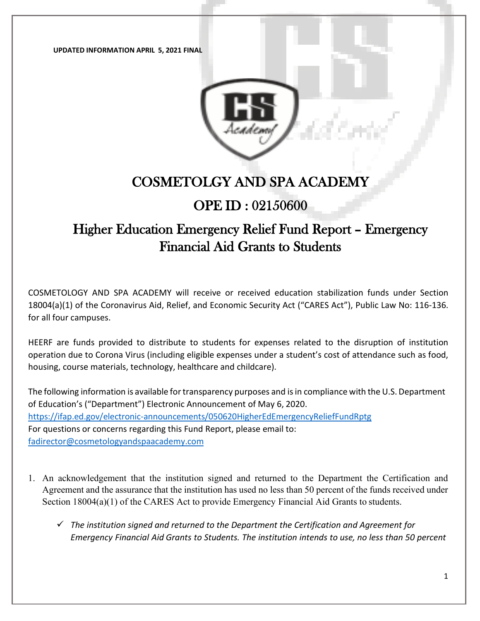**UPDATED INFORMATION APRIL 5, 2021 FINAL** 



# COSMETOLGY AND SPA ACADEMY

### OPE ID : 02150600

# Higher Education Emergency Relief Fund Report – Emergency Financial Aid Grants to Students

COSMETOLOGY AND SPA ACADEMY will receive or received education stabilization funds under Section 18004(a)(1) of the Coronavirus Aid, Relief, and Economic Security Act ("CARES Act"), Public Law No: 116-136. for all four campuses.

HEERF are funds provided to distribute to students for expenses related to the disruption of institution operation due to Corona Virus (including eligible expenses under a student's cost of attendance such as food, housing, course materials, technology, healthcare and childcare).

The following information is available for transparency purposes and is in compliance with the U.S. Department of Education's ("Department") Electronic Announcement of May 6, 2020. <https://ifap.ed.gov/electronic-announcements/050620HigherEdEmergencyReliefFundRptg> For questions or concerns regarding this Fund Report, please email to: [fadirector@cosmetologyandspaacademy.com](mailto:fadirector@cosmetologyandspaacademy.com)

- 1. An acknowledgement that the institution signed and returned to the Department the Certification and Agreement and the assurance that the institution has used no less than 50 percent of the funds received under Section 18004(a)(1) of the CARES Act to provide Emergency Financial Aid Grants to students.
	- *The institution signed and returned to the Department the Certification and Agreement for Emergency Financial Aid Grants to Students. The institution intends to use, no less than 50 percent*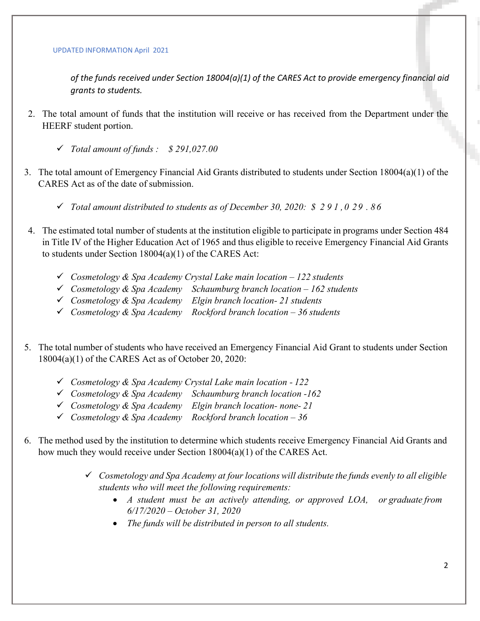#### UPDATED INFORMATION April 2021

*of the funds received under Section 18004(a)(1) of the CARES Act to provide emergency financial aid grants to students.*

- 2. The total amount of funds that the institution will receive or has received from the Department under the HEERF student portion.
	- *Total amount of funds : \$ 291,027.00*
- 3. The total amount of Emergency Financial Aid Grants distributed to students under Section 18004(a)(1) of the CARES Act as of the date of submission.
	- *Total amount distributed to students as of December 30, 2020: \$ 2 9 1 ,0 29 . 86*
- 4. The estimated total number of students at the institution eligible to participate in programs under Section 484 in Title IV of the Higher Education Act of 1965 and thus eligible to receive Emergency Financial Aid Grants to students under Section 18004(a)(1) of the CARES Act:
	- *Cosmetology & Spa Academy Crystal Lake main location – 122 students*
	- *Cosmetology & Spa Academy Schaumburg branch location – 162 students*
	- *Cosmetology & Spa Academy Elgin branch location- 21 students*
	- *Cosmetology & Spa Academy Rockford branch location – 36 students*
- 5. The total number of students who have received an Emergency Financial Aid Grant to students under Section 18004(a)(1) of the CARES Act as of October 20, 2020:
	- *Cosmetology & Spa Academy Crystal Lake main location - 122*
	- *Cosmetology & Spa Academy Schaumburg branch location -162*
	- *Cosmetology & Spa Academy Elgin branch location- none- 21*
	- *Cosmetology & Spa Academy Rockford branch location – 36*
- 6. The method used by the institution to determine which students receive Emergency Financial Aid Grants and how much they would receive under Section 18004(a)(1) of the CARES Act.
	- *Cosmetology and Spa Academy at four locations will distribute the funds evenly to all eligible students who will meet the following requirements:*
		- *A student must be an actively attending, or approved LOA, or graduate from 6/17/2020 – October 31, 2020*
		- *The funds will be distributed in person to all students.*